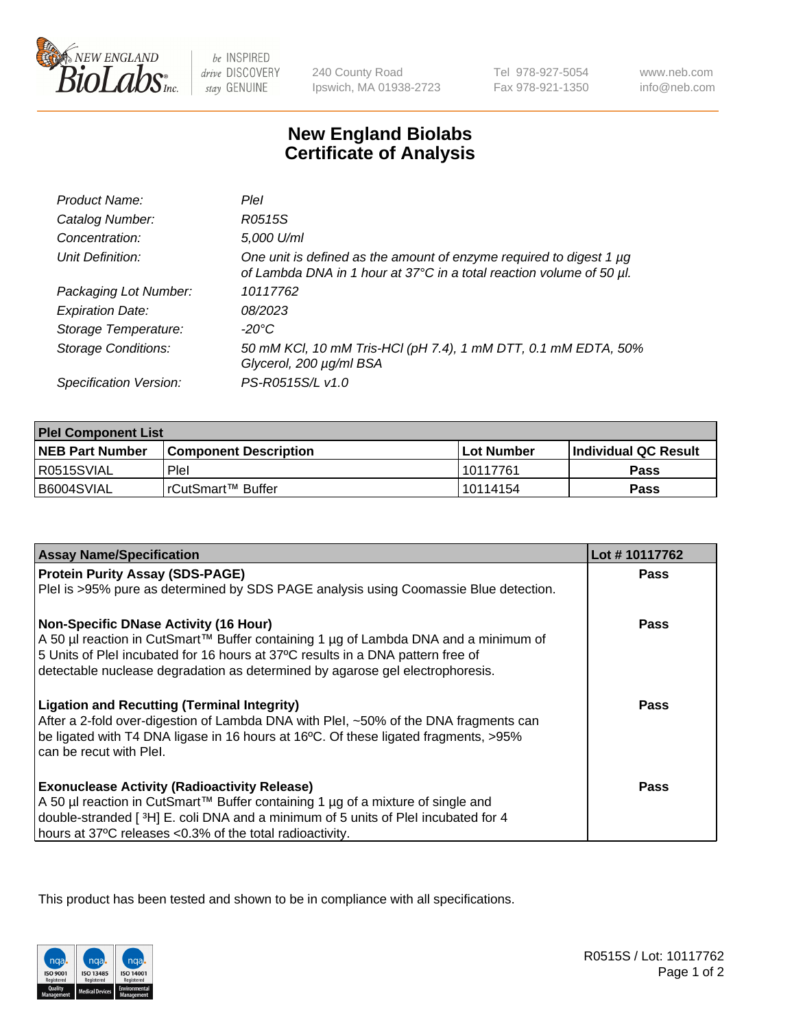

 $be$  INSPIRED drive DISCOVERY stay GENUINE

240 County Road Ipswich, MA 01938-2723 Tel 978-927-5054 Fax 978-921-1350

www.neb.com info@neb.com

## **New England Biolabs Certificate of Analysis**

| Product Name:              | Plel                                                                                                                                             |
|----------------------------|--------------------------------------------------------------------------------------------------------------------------------------------------|
| Catalog Number:            | R0515S                                                                                                                                           |
| Concentration:             | 5,000 U/ml                                                                                                                                       |
| Unit Definition:           | One unit is defined as the amount of enzyme required to digest 1 $\mu$ g<br>of Lambda DNA in 1 hour at 37°C in a total reaction volume of 50 µl. |
| Packaging Lot Number:      | 10117762                                                                                                                                         |
| <b>Expiration Date:</b>    | 08/2023                                                                                                                                          |
| Storage Temperature:       | -20°C                                                                                                                                            |
| <b>Storage Conditions:</b> | 50 mM KCl, 10 mM Tris-HCl (pH 7.4), 1 mM DTT, 0.1 mM EDTA, 50%<br>Glycerol, 200 µg/ml BSA                                                        |
| Specification Version:     | PS-R0515S/L v1.0                                                                                                                                 |

| <b>Plel Component List</b> |                         |              |                             |  |
|----------------------------|-------------------------|--------------|-----------------------------|--|
| <b>NEB Part Number</b>     | l Component Description | l Lot Number | <b>Individual QC Result</b> |  |
| R0515SVIAL                 | Plel                    | 10117761     | Pass                        |  |
| I B6004SVIAL               | IrCutSmart™ Buffer_     | l 10114154   | Pass                        |  |

| <b>Assay Name/Specification</b>                                                                                                                                                                                                                                                                         | Lot #10117762 |
|---------------------------------------------------------------------------------------------------------------------------------------------------------------------------------------------------------------------------------------------------------------------------------------------------------|---------------|
| <b>Protein Purity Assay (SDS-PAGE)</b>                                                                                                                                                                                                                                                                  | <b>Pass</b>   |
| PleI is >95% pure as determined by SDS PAGE analysis using Coomassie Blue detection.                                                                                                                                                                                                                    |               |
| <b>Non-Specific DNase Activity (16 Hour)</b><br>A 50 µl reaction in CutSmart™ Buffer containing 1 µg of Lambda DNA and a minimum of<br>5 Units of PleI incubated for 16 hours at 37°C results in a DNA pattern free of<br>detectable nuclease degradation as determined by agarose gel electrophoresis. | <b>Pass</b>   |
| <b>Ligation and Recutting (Terminal Integrity)</b><br>After a 2-fold over-digestion of Lambda DNA with Plel, ~50% of the DNA fragments can<br>be ligated with T4 DNA ligase in 16 hours at 16°C. Of these ligated fragments, >95%<br>can be recut with Plel.                                            | <b>Pass</b>   |
| <b>Exonuclease Activity (Radioactivity Release)</b><br>A 50 µl reaction in CutSmart™ Buffer containing 1 µg of a mixture of single and<br>double-stranded [3H] E. coli DNA and a minimum of 5 units of PleI incubated for 4<br>hours at 37°C releases <0.3% of the total radioactivity.                 | Pass          |

This product has been tested and shown to be in compliance with all specifications.